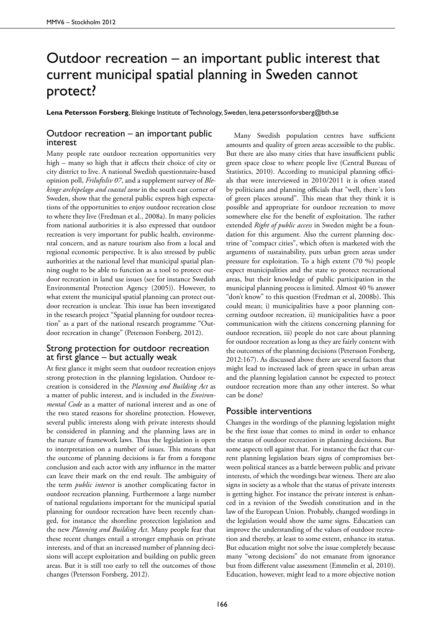## Outdoor recreation – an important public interest that current municipal spatial planning in Sweden cannot protect?

**Lena Petersson Forsberg**, Blekinge Institute of Technology, Sweden, lena.peterssonforsberg@bth.se

## Outdoor recreation – an important public interest

Many people rate outdoor recreation opportunities very high – many so high that it affects their choice of city or city district to live. A national Swedish questionnaire-based opinion poll, *Friluftsliv 07*, and a supplement survey of *Blekinge archipelago and coastal zone* in the south east corner of Sweden, show that the general public express high expectations of the opportunities to enjoy outdoor recreation close to where they live (Fredman et al., 2008a). In many policies from national authorities it is also expressed that outdoor recreation is very important for public health, environmental concern, and as nature tourism also from a local and regional economic perspective. It is also stressed by public authorities at the national level that municipal spatial planning ought to be able to function as a tool to protect outdoor recreation in land use issues (see for instance Swedish Environmental Protection Agency (2005)). However, to what extent the municipal spatial planning can protect outdoor recreation is unclear. This issue has been investigated in the research project "Spatial planning for outdoor recreation" as a part of the national research programme "Outdoor recreation in change" (Petersson Forsberg, 2012).

## Strong protection for outdoor recreation at first glance – but actually weak

At first glance it might seem that outdoor recreation enjoys strong protection in the planning legislation. Outdoor recreation is considered in the *Planning and Building Act* as a matter of public interest, and is included in the *Environmental Code* as a matter of national interest and as one of the two stated reasons for shoreline protection. However, several public interests along with private interests should be considered in planning and the planning laws are in the nature of framework laws. Thus the legislation is open to interpretation on a number of issues. This means that the outcome of planning decisions is far from a foregone conclusion and each actor with any influence in the matter can leave their mark on the end result. The ambiguity of the term *public interest* is another complicating factor in outdoor recreation planning. Furthermore a large number of national regulations important for the municipal spatial planning for outdoor recreation have been recently changed, for instance the shoreline protection legislation and the new *Planning and Building Act*. Many people fear that these recent changes entail a stronger emphasis on private interests, and of that an increased number of planning decisions will accept exploitation and building on public green areas. But it is still too early to tell the outcomes of those changes (Petersson Forsberg, 2012).

Many Swedish population centres have sufficient amounts and quality of green areas accessible to the public. But there are also many cities that have insufficient public green space close to where people live (Central Bureau of Statistics, 2010). According to municipal planning officials that were interviewed in 2010/2011 it is often stated by politicians and planning officials that "well, there´s lots of green places around". This mean that they think it is possible and appropriate for outdoor recreation to move somewhere else for the benefit of exploitation. The rather extended *Right of public access* in Sweden might be a foundation for this argument. Also the current planning doctrine of "compact cities", which often is marketed with the arguments of sustainability, puts urban green areas under pressure for exploitation. To a high extent (70 %) people expect municipalities and the state to protect recreational areas, but their knowledge of public participation in the municipal planning process is limited. Almost 40 % answer "don't know" to this question (Fredman et al, 2008b). This could mean; i) municipalities have a poor planning concerning outdoor recreation, ii) municipalities have a poor communication with the citizens concerning planning for outdoor recreation, iii) people do not care about planning for outdoor recreation as long as they are fairly content with the outcomes of the planning decisions (Petersson Forsberg, 2012:167). As discussed above there are several factors that might lead to increased lack of green space in urban areas and the planning legislation cannot be expected to protect outdoor recreation more than any other interest. So what can be done?

## Possible interventions

Changes in the wordings of the planning legislation might be the first issue that comes to mind in order to enhance the status of outdoor recreation in planning decisions. But some aspects tell against that. For instance the fact that current planning legislation bears signs of compromises between political stances as a battle between public and private interests, of which the wordings bear witness. There are also signs in society as a whole that the status of private interests is getting higher. For instance the private interest is enhanced in a revision of the Swedish constitution and in the law of the European Union. Probably, changed wordings in the legislation would show the same signs. Education can improve the understanding of the values of outdoor recreation and thereby, at least to some extent, enhance its status. But education might not solve the issue completely because many "wrong decisions" do not emanate from ignorance but from different value assessment (Emmelin et al, 2010). Education, however, might lead to a more objective notion